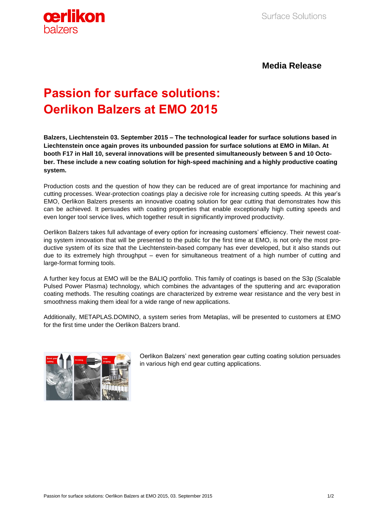

**Media Release**

## **Passion for surface solutions: Oerlikon Balzers at EMO 2015**

**Balzers, Liechtenstein 03. September 2015 – The technological leader for surface solutions based in Liechtenstein once again proves its unbounded passion for surface solutions at EMO in Milan. At booth F17 in Hall 10, several innovations will be presented simultaneously between 5 and 10 October. These include a new coating solution for high-speed machining and a highly productive coating system.**

Production costs and the question of how they can be reduced are of great importance for machining and cutting processes. Wear-protection coatings play a decisive role for increasing cutting speeds. At this year's EMO, Oerlikon Balzers presents an innovative coating solution for gear cutting that demonstrates how this can be achieved. It persuades with coating properties that enable exceptionally high cutting speeds and even longer tool service lives, which together result in significantly improved productivity.

Oerlikon Balzers takes full advantage of every option for increasing customers' efficiency. Their newest coating system innovation that will be presented to the public for the first time at EMO, is not only the most productive system of its size that the Liechtenstein-based company has ever developed, but it also stands out due to its extremely high throughput – even for simultaneous treatment of a high number of cutting and large-format forming tools.

A further key focus at EMO will be the BALIQ portfolio. This family of coatings is based on the S3p (Scalable Pulsed Power Plasma) technology, which combines the advantages of the sputtering and arc evaporation coating methods. The resulting coatings are characterized by extreme wear resistance and the very best in smoothness making them ideal for a wide range of new applications.

Additionally, METAPLAS.DOMINO, a system series from Metaplas, will be presented to customers at EMO for the first time under the Oerlikon Balzers brand.



Oerlikon Balzers' next generation gear cutting coating solution persuades in various high end gear cutting applications.